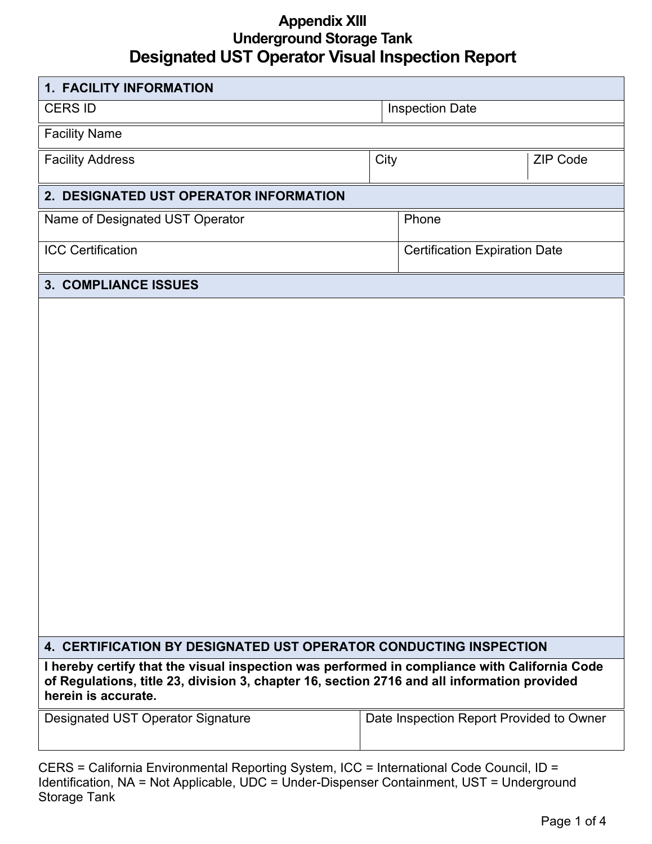#### **Appendix XIII Underground Storage Tank Designated UST Operator Visual Inspection Report**

| <b>1. FACILITY INFORMATION</b>         |      |                                      |                 |  |  |
|----------------------------------------|------|--------------------------------------|-----------------|--|--|
| <b>CERS ID</b>                         |      | <b>Inspection Date</b>               |                 |  |  |
| <b>Facility Name</b>                   |      |                                      |                 |  |  |
| <b>Facility Address</b>                | City |                                      | <b>ZIP Code</b> |  |  |
| 2. DESIGNATED UST OPERATOR INFORMATION |      |                                      |                 |  |  |
| Name of Designated UST Operator        |      | Phone                                |                 |  |  |
| <b>ICC Certification</b>               |      | <b>Certification Expiration Date</b> |                 |  |  |
| 3. COMPLIANCE ISSUES                   |      |                                      |                 |  |  |
|                                        |      |                                      |                 |  |  |

#### **4. CERTIFICATION BY DESIGNATED UST OPERATOR CONDUCTING INSPECTION**

**I hereby certify that the visual inspection was performed in compliance with California Code of Regulations, title 23, division 3, chapter 16, section 2716 and all information provided herein is accurate.**

Designated UST Operator Signature | Date Inspection Report Provided to Owner

| CERS = California Environmental Reporting System, ICC = International Code Council, ID =  |
|-------------------------------------------------------------------------------------------|
| Identification, NA = Not Applicable, UDC = Under-Dispenser Containment, UST = Underground |
| Storage Tank                                                                              |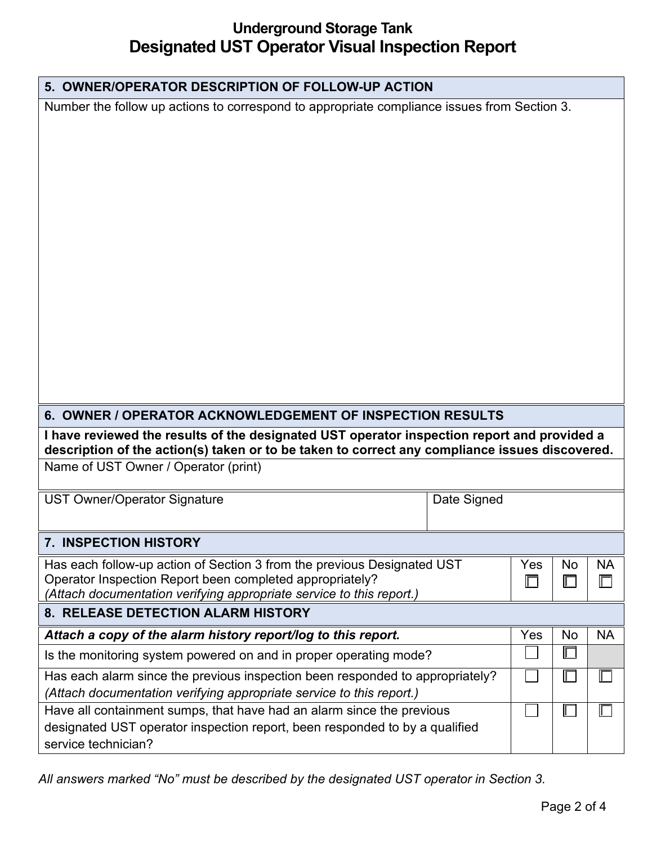# **Underground Storage Tank Designated UST Operator Visual Inspection Report**

|                                                                                                                                                                                               | 5. OWNER/OPERATOR DESCRIPTION OF FOLLOW-UP ACTION |     |        |           |  |  |  |  |
|-----------------------------------------------------------------------------------------------------------------------------------------------------------------------------------------------|---------------------------------------------------|-----|--------|-----------|--|--|--|--|
| Number the follow up actions to correspond to appropriate compliance issues from Section 3.                                                                                                   |                                                   |     |        |           |  |  |  |  |
|                                                                                                                                                                                               |                                                   |     |        |           |  |  |  |  |
|                                                                                                                                                                                               |                                                   |     |        |           |  |  |  |  |
|                                                                                                                                                                                               |                                                   |     |        |           |  |  |  |  |
|                                                                                                                                                                                               |                                                   |     |        |           |  |  |  |  |
|                                                                                                                                                                                               |                                                   |     |        |           |  |  |  |  |
|                                                                                                                                                                                               |                                                   |     |        |           |  |  |  |  |
|                                                                                                                                                                                               |                                                   |     |        |           |  |  |  |  |
|                                                                                                                                                                                               |                                                   |     |        |           |  |  |  |  |
|                                                                                                                                                                                               |                                                   |     |        |           |  |  |  |  |
|                                                                                                                                                                                               |                                                   |     |        |           |  |  |  |  |
|                                                                                                                                                                                               |                                                   |     |        |           |  |  |  |  |
|                                                                                                                                                                                               |                                                   |     |        |           |  |  |  |  |
|                                                                                                                                                                                               |                                                   |     |        |           |  |  |  |  |
|                                                                                                                                                                                               |                                                   |     |        |           |  |  |  |  |
| 6. OWNER / OPERATOR ACKNOWLEDGEMENT OF INSPECTION RESULTS                                                                                                                                     |                                                   |     |        |           |  |  |  |  |
| I have reviewed the results of the designated UST operator inspection report and provided a<br>description of the action(s) taken or to be taken to correct any compliance issues discovered. |                                                   |     |        |           |  |  |  |  |
| Name of UST Owner / Operator (print)                                                                                                                                                          |                                                   |     |        |           |  |  |  |  |
|                                                                                                                                                                                               |                                                   |     |        |           |  |  |  |  |
|                                                                                                                                                                                               |                                                   |     |        |           |  |  |  |  |
| <b>UST Owner/Operator Signature</b>                                                                                                                                                           | Date Signed                                       |     |        |           |  |  |  |  |
|                                                                                                                                                                                               |                                                   |     |        |           |  |  |  |  |
| <b>7. INSPECTION HISTORY</b>                                                                                                                                                                  |                                                   |     |        |           |  |  |  |  |
| Has each follow-up action of Section 3 from the previous Designated UST                                                                                                                       |                                                   | Yes | No     | <b>NA</b> |  |  |  |  |
| Operator Inspection Report been completed appropriately?<br>(Attach documentation verifying appropriate service to this report.)                                                              |                                                   |     | ℾ      |           |  |  |  |  |
| 8. RELEASE DETECTION ALARM HISTORY                                                                                                                                                            |                                                   |     |        |           |  |  |  |  |
| Attach a copy of the alarm history report/log to this report.                                                                                                                                 |                                                   | Yes | No     | <b>NA</b> |  |  |  |  |
| Is the monitoring system powered on and in proper operating mode?                                                                                                                             |                                                   |     | $\Box$ |           |  |  |  |  |
| Has each alarm since the previous inspection been responded to appropriately?                                                                                                                 |                                                   |     | Г      |           |  |  |  |  |
| (Attach documentation verifying appropriate service to this report.)                                                                                                                          |                                                   |     |        |           |  |  |  |  |
| Have all containment sumps, that have had an alarm since the previous                                                                                                                         |                                                   |     | Г      |           |  |  |  |  |
| designated UST operator inspection report, been responded to by a qualified<br>service technician?                                                                                            |                                                   |     |        |           |  |  |  |  |

*All answers marked "No" must be described by the designated UST operator in Section 3.*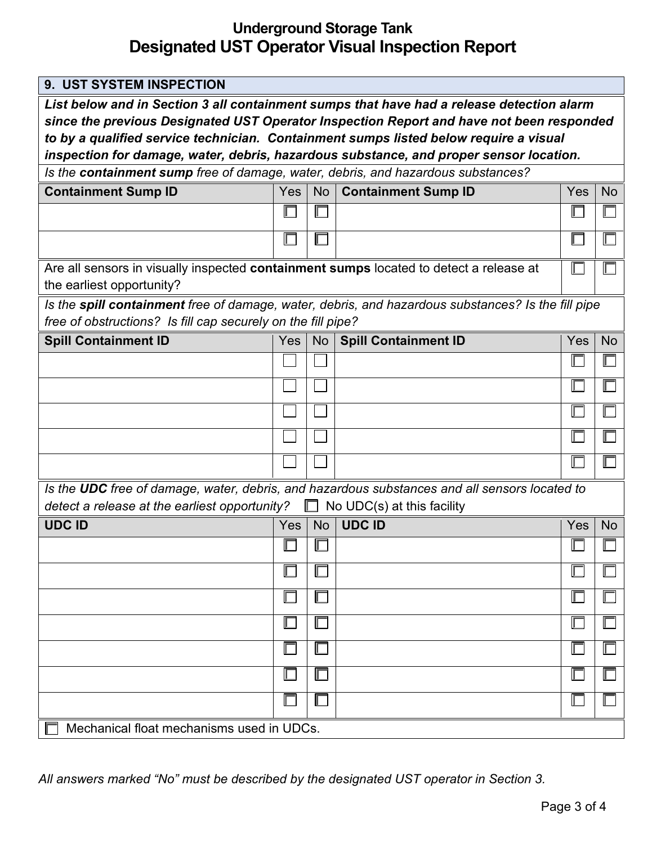# **Underground Storage Tank Designated UST Operator Visual Inspection Report**

| 9. UST SYSTEM INSPECTION                                                                           |            |                 |                             |     |           |
|----------------------------------------------------------------------------------------------------|------------|-----------------|-----------------------------|-----|-----------|
| List below and in Section 3 all containment sumps that have had a release detection alarm          |            |                 |                             |     |           |
| since the previous Designated UST Operator Inspection Report and have not been responded           |            |                 |                             |     |           |
| to by a qualified service technician. Containment sumps listed below require a visual              |            |                 |                             |     |           |
| inspection for damage, water, debris, hazardous substance, and proper sensor location.             |            |                 |                             |     |           |
| Is the containment sump free of damage, water, debris, and hazardous substances?                   |            |                 |                             |     |           |
| <b>Containment Sump ID</b>                                                                         | Yes        | <b>No</b>       | <b>Containment Sump ID</b>  | Yes | <b>No</b> |
|                                                                                                    |            |                 |                             | Γ   |           |
|                                                                                                    |            |                 |                             |     |           |
| Are all sensors in visually inspected containment sumps located to detect a release at             |            |                 |                             |     |           |
| the earliest opportunity?                                                                          |            |                 |                             |     |           |
| Is the spill containment free of damage, water, debris, and hazardous substances? Is the fill pipe |            |                 |                             |     |           |
| free of obstructions? Is fill cap securely on the fill pipe?                                       |            |                 |                             |     |           |
| <b>Spill Containment ID</b>                                                                        | <b>Yes</b> | No <sub>1</sub> | <b>Spill Containment ID</b> | Yes | <b>No</b> |
|                                                                                                    |            |                 |                             |     |           |
|                                                                                                    |            |                 |                             |     |           |
|                                                                                                    |            |                 |                             |     |           |
|                                                                                                    |            |                 |                             |     |           |
|                                                                                                    |            |                 |                             |     |           |
| Is the UDC free of damage, water, debris, and hazardous substances and all sensors located to      |            |                 |                             |     |           |
| detect a release at the earliest opportunity?<br>$\Box$ No UDC(s) at this facility                 |            |                 |                             |     |           |
| <b>UDC ID</b>                                                                                      | <b>Yes</b> | <b>No</b>       | <b>UDC ID</b>               | Yes | <b>No</b> |
|                                                                                                    |            |                 |                             |     |           |
|                                                                                                    |            |                 |                             |     |           |
|                                                                                                    |            |                 |                             |     |           |
|                                                                                                    |            |                 |                             |     |           |
|                                                                                                    |            |                 |                             |     |           |
|                                                                                                    |            |                 |                             |     |           |
|                                                                                                    |            |                 |                             |     |           |
| Mechanical float mechanisms used in UDCs.                                                          |            |                 |                             |     |           |

*All answers marked "No" must be described by the designated UST operator in Section 3.*